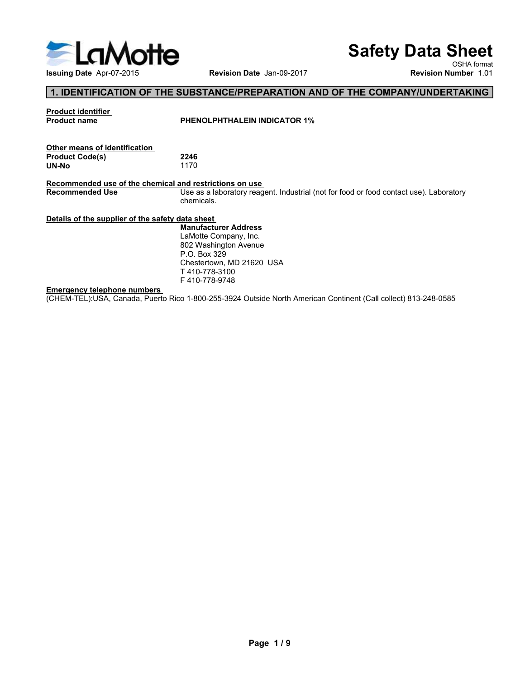

# Safety Data Sheet

# 1. IDENTIFICATION OF THE SUBSTANCE/PREPARATION AND OF THE COMPANY/UNDERTAKING

| ELaMotte<br><b>Safety Data Sheet</b><br>OSHA format<br>Issuing Date Apr-07-2015<br>Revision Date Jan-09-2017<br><b>Revision Number 1.01</b><br>1. IDENTIFICATION OF THE SUBSTANCE/PREPARATION AND OF THE COMPANY/UNDERTAKING<br><b>Product identifier</b><br><b>Product name</b><br><b>PHENOLPHTHALEIN INDICATOR 1%</b><br>Other means of identification<br><b>Product Code(s)</b><br>2246 |
|--------------------------------------------------------------------------------------------------------------------------------------------------------------------------------------------------------------------------------------------------------------------------------------------------------------------------------------------------------------------------------------------|
|                                                                                                                                                                                                                                                                                                                                                                                            |
|                                                                                                                                                                                                                                                                                                                                                                                            |
|                                                                                                                                                                                                                                                                                                                                                                                            |
|                                                                                                                                                                                                                                                                                                                                                                                            |
|                                                                                                                                                                                                                                                                                                                                                                                            |
|                                                                                                                                                                                                                                                                                                                                                                                            |
|                                                                                                                                                                                                                                                                                                                                                                                            |
|                                                                                                                                                                                                                                                                                                                                                                                            |
|                                                                                                                                                                                                                                                                                                                                                                                            |
|                                                                                                                                                                                                                                                                                                                                                                                            |
| 1170<br>UN-No                                                                                                                                                                                                                                                                                                                                                                              |
| Recommended use of the chemical and restrictions on use<br><b>Recommended Use</b><br>Use as a laboratory reagent. Industrial (not for food or food contact use). Laboratory                                                                                                                                                                                                                |
| chemicals.                                                                                                                                                                                                                                                                                                                                                                                 |
| Details of the supplier of the safety data sheet                                                                                                                                                                                                                                                                                                                                           |
| <b>Manufacturer Address</b>                                                                                                                                                                                                                                                                                                                                                                |
| LaMotte Company, Inc.<br>802 Washington Avenue                                                                                                                                                                                                                                                                                                                                             |
| P.O. Box 329                                                                                                                                                                                                                                                                                                                                                                               |
| Chestertown, MD 21620 USA                                                                                                                                                                                                                                                                                                                                                                  |
| T410-778-3100<br>F410-778-9748                                                                                                                                                                                                                                                                                                                                                             |
|                                                                                                                                                                                                                                                                                                                                                                                            |
| <b>Emergency telephone numbers</b>                                                                                                                                                                                                                                                                                                                                                         |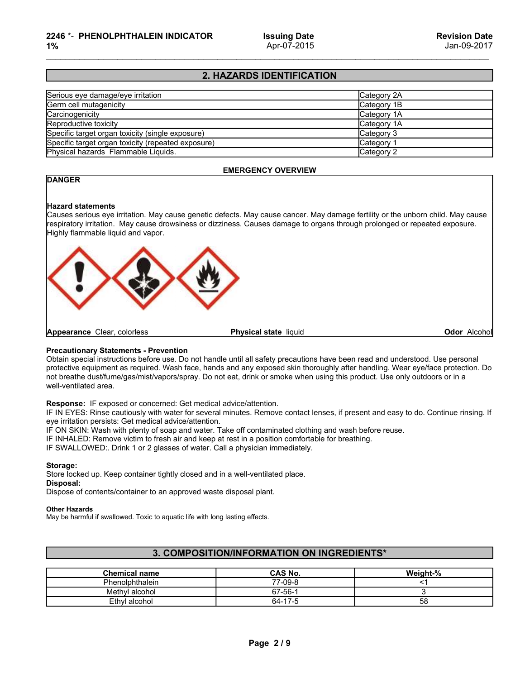## 2. HAZARDS IDENTIFICATION

| 2246 *- PHENOLPHTHALEIN INDICATOR<br>1%                                                                                                                          | <b>Issuing Date</b><br>Apr-07-2015 | <b>Revision Date</b><br>Jan-09-2017 |
|------------------------------------------------------------------------------------------------------------------------------------------------------------------|------------------------------------|-------------------------------------|
|                                                                                                                                                                  |                                    |                                     |
|                                                                                                                                                                  | 2. HAZARDS IDENTIFICATION          |                                     |
| Serious eye damage/eye irritation<br>Germ cell mutagenicity<br>Carcinogenicity<br>Reproductive toxicity                                                          |                                    | Category 2A                         |
|                                                                                                                                                                  |                                    | Category 1B                         |
|                                                                                                                                                                  |                                    | Category 1A                         |
|                                                                                                                                                                  |                                    | Category 1A                         |
|                                                                                                                                                                  |                                    | Category 3                          |
| Specific target organ toxicity (single exposure)<br>Specific target organ toxicity (repeated exposure)<br>Physical hazards Flammable Liquids.                    |                                    | Category 1                          |
|                                                                                                                                                                  |                                    | Category 2                          |
|                                                                                                                                                                  | <b>EMERGENCY OVERVIEW</b>          |                                     |
| <b>DANGER</b>                                                                                                                                                    |                                    |                                     |
|                                                                                                                                                                  |                                    |                                     |
| <b>Hazard statements</b>                                                                                                                                         |                                    |                                     |
| Causes serious eye irritation. May cause genetic defects. May cause cancer. May damage fertility or the unborn child. May cause                                  |                                    |                                     |
| respiratory irritation. May cause drowsiness or dizziness. Causes damage to organs through prolonged or repeated exposure.<br>Highly flammable liquid and vapor. |                                    |                                     |
|                                                                                                                                                                  |                                    |                                     |
|                                                                                                                                                                  |                                    |                                     |

### EMERGENCY OVERVIEW

### **DANGER**



### Storage:

### Other Hazards

### 3. COMPOSITION/INFORMATION ON INGREDIENTS\*

| Response: IF exposed or concerned: Get medical advice/attention.<br>IF IN EYES: Rinse cautiously with water for several minutes. Remove contact lenses, if present and easy to do. Continue rinsing. If<br>eye irritation persists: Get medical advice/attention.<br>IF ON SKIN: Wash with plenty of soap and water. Take off contaminated clothing and wash before reuse.<br>IF INHALED: Remove victim to fresh air and keep at rest in a position comfortable for breathing.<br>IF SWALLOWED:. Drink 1 or 2 glasses of water. Call a physician immediately.<br>Storage:<br>Store locked up. Keep container tightly closed and in a well-ventilated place.<br>Disposal:<br>Dispose of contents/container to an approved waste disposal plant.<br><b>Other Hazards</b><br>May be harmful if swallowed. Toxic to aquatic life with long lasting effects. |
|---------------------------------------------------------------------------------------------------------------------------------------------------------------------------------------------------------------------------------------------------------------------------------------------------------------------------------------------------------------------------------------------------------------------------------------------------------------------------------------------------------------------------------------------------------------------------------------------------------------------------------------------------------------------------------------------------------------------------------------------------------------------------------------------------------------------------------------------------------|
|                                                                                                                                                                                                                                                                                                                                                                                                                                                                                                                                                                                                                                                                                                                                                                                                                                                         |
|                                                                                                                                                                                                                                                                                                                                                                                                                                                                                                                                                                                                                                                                                                                                                                                                                                                         |
|                                                                                                                                                                                                                                                                                                                                                                                                                                                                                                                                                                                                                                                                                                                                                                                                                                                         |
| 3. COMPOSITION/INFORMATION ON INGREDIENTS*                                                                                                                                                                                                                                                                                                                                                                                                                                                                                                                                                                                                                                                                                                                                                                                                              |
| <b>Chemical name</b><br>CAS No.<br>Weight-%                                                                                                                                                                                                                                                                                                                                                                                                                                                                                                                                                                                                                                                                                                                                                                                                             |
| Phenolphthalein<br>77-09-8<br>$<$ 1                                                                                                                                                                                                                                                                                                                                                                                                                                                                                                                                                                                                                                                                                                                                                                                                                     |
| 67-56-1<br>3<br>Methyl alcohol                                                                                                                                                                                                                                                                                                                                                                                                                                                                                                                                                                                                                                                                                                                                                                                                                          |
| $\overline{58}$<br>$64 - 17 - 5$<br>Ethyl alcohol                                                                                                                                                                                                                                                                                                                                                                                                                                                                                                                                                                                                                                                                                                                                                                                                       |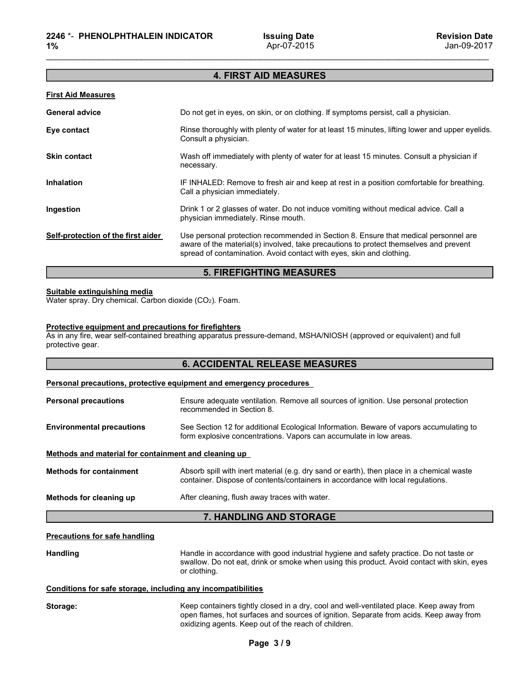# 4. FIRST AID MEASURES

| <b>4. FIRST AID MEASURES</b><br><b>First Aid Measures</b><br>Do not get in eyes, on skin, or on clothing. If symptoms persist, call a physician.<br><b>General advice</b><br>Rinse thoroughly with plenty of water for at least 15 minutes, lifting lower and upper eyelids.<br>Eye contact<br>Consult a physician.<br>Skin contact<br>Wash off immediately with plenty of water for at least 15 minutes. Consult a physician if<br>necessary.<br>Inhalation<br>IF INHALED: Remove to fresh air and keep at rest in a position comfortable for breathing.<br>Call a physician immediately.<br>Drink 1 or 2 glasses of water. Do not induce vomiting without medical advice. Call a<br>Ingestion<br>physician immediately. Rinse mouth.<br>Self-protection of the first aider<br>Use personal protection recommended in Section 8. Ensure that medical personnel are |
|---------------------------------------------------------------------------------------------------------------------------------------------------------------------------------------------------------------------------------------------------------------------------------------------------------------------------------------------------------------------------------------------------------------------------------------------------------------------------------------------------------------------------------------------------------------------------------------------------------------------------------------------------------------------------------------------------------------------------------------------------------------------------------------------------------------------------------------------------------------------|
|                                                                                                                                                                                                                                                                                                                                                                                                                                                                                                                                                                                                                                                                                                                                                                                                                                                                     |
|                                                                                                                                                                                                                                                                                                                                                                                                                                                                                                                                                                                                                                                                                                                                                                                                                                                                     |
|                                                                                                                                                                                                                                                                                                                                                                                                                                                                                                                                                                                                                                                                                                                                                                                                                                                                     |
|                                                                                                                                                                                                                                                                                                                                                                                                                                                                                                                                                                                                                                                                                                                                                                                                                                                                     |
|                                                                                                                                                                                                                                                                                                                                                                                                                                                                                                                                                                                                                                                                                                                                                                                                                                                                     |
|                                                                                                                                                                                                                                                                                                                                                                                                                                                                                                                                                                                                                                                                                                                                                                                                                                                                     |
|                                                                                                                                                                                                                                                                                                                                                                                                                                                                                                                                                                                                                                                                                                                                                                                                                                                                     |
| aware of the material(s) involved, take precautions to protect themselves and prevent<br>spread of contamination. Avoid contact with eyes, skin and clothing.                                                                                                                                                                                                                                                                                                                                                                                                                                                                                                                                                                                                                                                                                                       |
| <b>5. FIREFIGHTING MEASURES</b>                                                                                                                                                                                                                                                                                                                                                                                                                                                                                                                                                                                                                                                                                                                                                                                                                                     |
| Suitable extinguishing media<br>Water spray. Dry chemical. Carbon dioxide (CO2). Foam.                                                                                                                                                                                                                                                                                                                                                                                                                                                                                                                                                                                                                                                                                                                                                                              |
| Protective equipment and precautions for firefighters<br>As in any fire, wear self-contained breathing apparatus pressure-demand, MSHA/NIOSH (approved or equivalent) and full<br>protective gear.                                                                                                                                                                                                                                                                                                                                                                                                                                                                                                                                                                                                                                                                  |
| <b>6. ACCIDENTAL RELEASE MEASURES</b>                                                                                                                                                                                                                                                                                                                                                                                                                                                                                                                                                                                                                                                                                                                                                                                                                               |
| Personal precautions, protective equipment and emergency procedures                                                                                                                                                                                                                                                                                                                                                                                                                                                                                                                                                                                                                                                                                                                                                                                                 |
| Ensure adequate ventilation. Remove all sources of ignition. Use personal protection<br><b>Personal precautions</b><br>recommended in Section 8.                                                                                                                                                                                                                                                                                                                                                                                                                                                                                                                                                                                                                                                                                                                    |
| See Section 12 for additional Ecological Information. Beware of vapors accumulating to<br><b>Environmental precautions</b><br>form explosive concentrations. Vapors can accumulate in low areas.                                                                                                                                                                                                                                                                                                                                                                                                                                                                                                                                                                                                                                                                    |
| Methods and material for containment and cleaning up                                                                                                                                                                                                                                                                                                                                                                                                                                                                                                                                                                                                                                                                                                                                                                                                                |

### 5. FIREFIGHTING MEASURES

| <b>6. ACCIDENTAL RELEASE MEASURES</b> |
|---------------------------------------|
|---------------------------------------|

| Ingestion                                                                              | Drink 1 or 2 glasses of water. Do not induce vomiting without medical advice. Call a<br>physician immediately. Rinse mouth.                                                                                                                          |
|----------------------------------------------------------------------------------------|------------------------------------------------------------------------------------------------------------------------------------------------------------------------------------------------------------------------------------------------------|
| Self-protection of the first aider                                                     | Use personal protection recommended in Section 8. Ensure that medical personnel are<br>aware of the material(s) involved, take precautions to protect themselves and prevent<br>spread of contamination. Avoid contact with eyes, skin and clothing. |
|                                                                                        | <b>5. FIREFIGHTING MEASURES</b>                                                                                                                                                                                                                      |
| Suitable extinguishing media<br>Water spray. Dry chemical. Carbon dioxide (CO2). Foam. |                                                                                                                                                                                                                                                      |
| Protective equipment and precautions for firefighters<br>protective gear.              | As in any fire, wear self-contained breathing apparatus pressure-demand, MSHA/NIOSH (approved or equivalent) and full                                                                                                                                |
|                                                                                        | <b>6. ACCIDENTAL RELEASE MEASURES</b>                                                                                                                                                                                                                |
|                                                                                        | Personal precautions, protective equipment and emergency procedures                                                                                                                                                                                  |
| <b>Personal precautions</b>                                                            | Ensure adequate ventilation. Remove all sources of ignition. Use personal protection<br>recommended in Section 8.                                                                                                                                    |
| <b>Environmental precautions</b>                                                       | See Section 12 for additional Ecological Information. Beware of vapors accumulating to<br>form explosive concentrations. Vapors can accumulate in low areas.                                                                                         |
| Methods and material for containment and cleaning up                                   |                                                                                                                                                                                                                                                      |
| <b>Methods for containment</b>                                                         | Absorb spill with inert material (e.g. dry sand or earth), then place in a chemical waste<br>container. Dispose of contents/containers in accordance with local regulations.                                                                         |
| Methods for cleaning up                                                                | After cleaning, flush away traces with water.                                                                                                                                                                                                        |
|                                                                                        | 7. HANDLING AND STORAGE                                                                                                                                                                                                                              |
| <b>Precautions for safe handling</b>                                                   |                                                                                                                                                                                                                                                      |
| <b>Handling</b>                                                                        | Handle in accordance with good industrial hygiene and safety practice. Do not taste or<br>swallow. Do not eat, drink or smoke when using this product. Avoid contact with skin, eyes<br>or clothing.                                                 |
| Conditions for safe storage, including any incompatibilities                           |                                                                                                                                                                                                                                                      |
| Storage:                                                                               | Keep containers tightly closed in a dry, cool and well-ventilated place. Keep away from<br>open flames, hot surfaces and sources of ignition. Separate from acids. Keep away from<br>oxidizing agents. Keep out of the reach of children.            |
|                                                                                        | Page 3/9                                                                                                                                                                                                                                             |
|                                                                                        |                                                                                                                                                                                                                                                      |
|                                                                                        |                                                                                                                                                                                                                                                      |
|                                                                                        |                                                                                                                                                                                                                                                      |

### 7. HANDLING AND STORAGE

| Storage: |  |
|----------|--|
|          |  |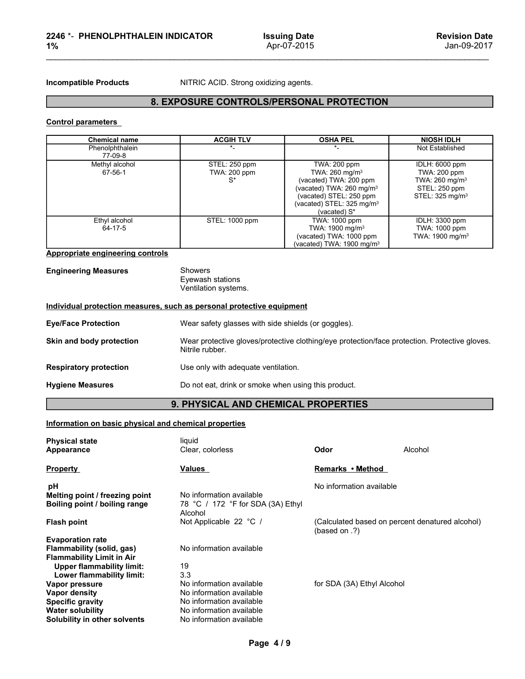# 8. EXPOSURE CONTROLS/PERSONAL PROTECTION

| 2246 *- PHENOLPHTHALEIN INDICATOR<br>1%                               |                                                            | <b>Issuing Date</b><br>Apr-07-2015                                                                                                                                                      | <b>Revision Date</b><br>Jan-09-2017                                                                          |  |  |
|-----------------------------------------------------------------------|------------------------------------------------------------|-----------------------------------------------------------------------------------------------------------------------------------------------------------------------------------------|--------------------------------------------------------------------------------------------------------------|--|--|
| <b>Incompatible Products</b>                                          | NITRIC ACID. Strong oxidizing agents.                      |                                                                                                                                                                                         |                                                                                                              |  |  |
|                                                                       | 8. EXPOSURE CONTROLS/PERSONAL PROTECTION                   |                                                                                                                                                                                         |                                                                                                              |  |  |
| <b>Control parameters</b>                                             |                                                            |                                                                                                                                                                                         |                                                                                                              |  |  |
| <b>Chemical name</b>                                                  | <b>ACGIH TLV</b>                                           | <b>OSHA PEL</b>                                                                                                                                                                         | <b>NIOSH IDLH</b>                                                                                            |  |  |
| Phenolphthalein<br>77-09-8                                            | $\star$                                                    | $\star$                                                                                                                                                                                 | Not Established                                                                                              |  |  |
| Methyl alcohol<br>67-56-1                                             | STEL: 250 ppm<br>TWA: 200 ppm<br>$S^*$                     | <b>TWA: 200 ppm</b><br>TWA: 260 mg/m <sup>3</sup><br>(vacated) TWA: 200 ppm<br>(vacated) TWA: 260 mg/m <sup>3</sup><br>(vacated) STEL: 250 ppm<br>(vacated) STEL: 325 mg/m <sup>3</sup> | IDLH: 6000 ppm<br>TWA: 200 ppm<br>TWA: 260 mg/m <sup>3</sup><br>STEL: 250 ppm<br>STEL: 325 mg/m <sup>3</sup> |  |  |
| Ethyl alcohol<br>64-17-5                                              | STEL: 1000 ppm                                             | (vacated) S*<br>TWA: 1000 ppm<br>TWA: 1900 mg/m <sup>3</sup><br>(vacated) TWA: 1000 ppm<br>(vacated) TWA: 1900 mg/m <sup>3</sup>                                                        | <b>IDLH: 3300 ppm</b><br>TWA: 1000 ppm<br>TWA: 1900 mg/m <sup>3</sup>                                        |  |  |
| <b>Appropriate engineering controls</b>                               |                                                            |                                                                                                                                                                                         |                                                                                                              |  |  |
| <b>Engineering Measures</b>                                           | <b>Showers</b><br>Eyewash stations<br>Ventilation systems. |                                                                                                                                                                                         |                                                                                                              |  |  |
| Individual protection measures, such as personal protective equipment |                                                            |                                                                                                                                                                                         |                                                                                                              |  |  |
| <b>Eye/Face Protection</b>                                            | Wear safety glasses with side shields (or goggles).        |                                                                                                                                                                                         |                                                                                                              |  |  |
| Skin and body protection                                              | Nitrile rubber.                                            | Wear protective gloves/protective clothing/eye protection/face protection. Protective gloves.                                                                                           |                                                                                                              |  |  |
| <b>Respiratory protection</b>                                         | Use only with adequate ventilation.                        |                                                                                                                                                                                         |                                                                                                              |  |  |
| <b>Hygiene Measures</b>                                               | Do not eat, drink or smoke when using this product.        |                                                                                                                                                                                         |                                                                                                              |  |  |
|                                                                       | 9. PHYSICAL AND CHEMICAL PROPERTIES                        |                                                                                                                                                                                         |                                                                                                              |  |  |
| Information on basic physical and chemical properties                 |                                                            |                                                                                                                                                                                         |                                                                                                              |  |  |
| <b>Dhugical otats</b>                                                 | المنسوبنا                                                  |                                                                                                                                                                                         |                                                                                                              |  |  |

| Measures | Showers                  |
|----------|--------------------------|
|          | Eyewash station          |
|          | <b>Ventilation syste</b> |

|                                                                              |                                                                                                                  | (vacated) STEL: 325 mg/m <sup>3</sup><br>(vacated) S*                                                           |                                                                |
|------------------------------------------------------------------------------|------------------------------------------------------------------------------------------------------------------|-----------------------------------------------------------------------------------------------------------------|----------------------------------------------------------------|
| Ethyl alcohol<br>64-17-5                                                     | STEL: 1000 ppm                                                                                                   | TWA: 1000 ppm<br>TWA: 1900 mg/m <sup>3</sup><br>(vacated) TWA: 1000 ppm<br>vacated) TWA: 1900 mg/m <sup>3</sup> | IDLH: 3300 ppm<br>TWA: 1000 ppm<br>TWA: 1900 mg/m <sup>3</sup> |
| Appropriate engineering controls                                             |                                                                                                                  |                                                                                                                 |                                                                |
| <b>Engineering Measures</b>                                                  | <b>Showers</b><br>Eyewash stations<br>Ventilation systems.                                                       |                                                                                                                 |                                                                |
|                                                                              | Individual protection measures, such as personal protective equipment                                            |                                                                                                                 |                                                                |
| <b>Eye/Face Protection</b>                                                   | Wear safety glasses with side shields (or goggles).                                                              |                                                                                                                 |                                                                |
| Skin and body protection                                                     | Wear protective gloves/protective clothing/eye protection/face protection. Protective gloves.<br>Nitrile rubber. |                                                                                                                 |                                                                |
| <b>Respiratory protection</b>                                                | Use only with adequate ventilation.                                                                              |                                                                                                                 |                                                                |
| <b>Hygiene Measures</b>                                                      | Do not eat, drink or smoke when using this product.                                                              |                                                                                                                 |                                                                |
|                                                                              | 9. PHYSICAL AND CHEMICAL PROPERTIES                                                                              |                                                                                                                 |                                                                |
| Information on basic physical and chemical properties                        |                                                                                                                  |                                                                                                                 |                                                                |
| <b>Physical state</b><br>Appearance                                          | liquid<br>Clear, colorless                                                                                       | Odor                                                                                                            | Alcohol                                                        |
| <b>Property</b>                                                              | <b>Values</b>                                                                                                    | Remarks • Method                                                                                                |                                                                |
| рH<br>Melting point / freezing point<br><b>Roiling noint / hoiling range</b> | No information available<br>78 °C. / 172 °F for SDA (3A) Fthyl                                                   | No information available                                                                                        |                                                                |

# 9. PHYSICAL AND CHEMICAL PROPERTIES

| <b>Engineering Measures</b>                                                                                                                                                                                                                                                                                            | <b>Showers</b><br>Eyewash stations<br>Ventilation systems.                                                                                                                                                                      |                                                                         |                                                 |
|------------------------------------------------------------------------------------------------------------------------------------------------------------------------------------------------------------------------------------------------------------------------------------------------------------------------|---------------------------------------------------------------------------------------------------------------------------------------------------------------------------------------------------------------------------------|-------------------------------------------------------------------------|-------------------------------------------------|
|                                                                                                                                                                                                                                                                                                                        | Individual protection measures, such as personal protective equipment                                                                                                                                                           |                                                                         |                                                 |
| <b>Eye/Face Protection</b>                                                                                                                                                                                                                                                                                             | Wear safety glasses with side shields (or goggles).                                                                                                                                                                             |                                                                         |                                                 |
| Skin and body protection                                                                                                                                                                                                                                                                                               | Wear protective gloves/protective clothing/eye protection/face protection. Protective gloves.<br>Nitrile rubber.                                                                                                                |                                                                         |                                                 |
| <b>Respiratory protection</b>                                                                                                                                                                                                                                                                                          | Use only with adequate ventilation.                                                                                                                                                                                             |                                                                         |                                                 |
| <b>Hygiene Measures</b>                                                                                                                                                                                                                                                                                                | Do not eat, drink or smoke when using this product.                                                                                                                                                                             |                                                                         |                                                 |
|                                                                                                                                                                                                                                                                                                                        | 9. PHYSICAL AND CHEMICAL PROPERTIES                                                                                                                                                                                             |                                                                         |                                                 |
| Information on basic physical and chemical properties                                                                                                                                                                                                                                                                  |                                                                                                                                                                                                                                 |                                                                         |                                                 |
| <b>Physical state</b><br><b>Appearance</b>                                                                                                                                                                                                                                                                             | liquid<br>Clear, colorless                                                                                                                                                                                                      | Odor                                                                    | Alcohol                                         |
| <b>Property</b>                                                                                                                                                                                                                                                                                                        | Values                                                                                                                                                                                                                          | Remarks • Method                                                        |                                                 |
| рH<br>Melting point / freezing point<br>Boiling point / boiling range<br><b>Flash point</b><br><b>Evaporation rate</b><br>Flammability (solid, gas)<br><b>Flammability Limit in Air</b><br><b>Upper flammability limit:</b><br>Lower flammability limit:<br>Vapor pressure<br>Vapor density<br><b>Specific gravity</b> | No information available<br>78 °C / 172 °F for SDA (3A) Ethyl<br>Alcohol<br>Not Applicable 22 °C /<br>No information available<br>19<br>3.3<br>No information available<br>No information available<br>No information available | No information available<br>(hased on .?)<br>for SDA (3A) Ethyl Alcohol | (Calculated based on percent denatured alcohol) |
| Water solubility<br>Solubility in other solvents                                                                                                                                                                                                                                                                       | No information available<br>No information available<br>Page 4/9                                                                                                                                                                |                                                                         |                                                 |
|                                                                                                                                                                                                                                                                                                                        |                                                                                                                                                                                                                                 |                                                                         |                                                 |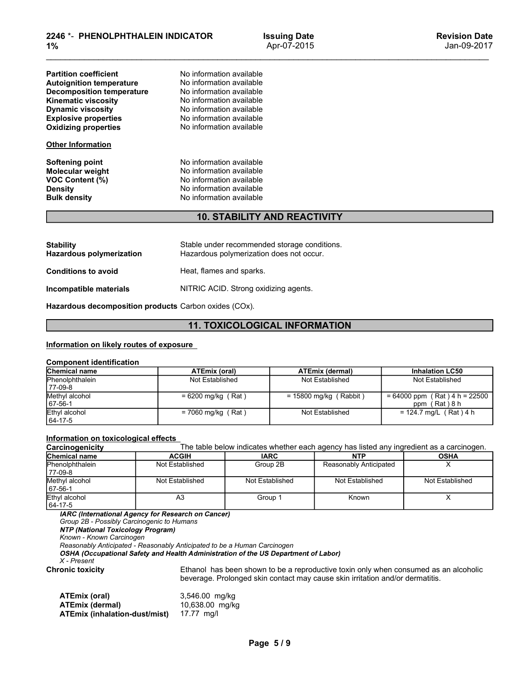| 2246 *- PHENOLPHTHALEIN INDICATOR<br>1%                             |                                                                                          | <b>Issuing Date</b><br>Apr-07-2015        | <b>Revision Date</b><br>Jan-09-2017       |  |  |
|---------------------------------------------------------------------|------------------------------------------------------------------------------------------|-------------------------------------------|-------------------------------------------|--|--|
|                                                                     |                                                                                          |                                           |                                           |  |  |
| <b>Partition coefficient</b>                                        | No information available<br>No information available                                     |                                           |                                           |  |  |
| <b>Autoignition temperature</b><br><b>Decomposition temperature</b> | No information available                                                                 |                                           |                                           |  |  |
| <b>Kinematic viscosity</b>                                          | No information available                                                                 |                                           |                                           |  |  |
| <b>Dynamic viscosity</b><br><b>Explosive properties</b>             | No information available<br>No information available                                     |                                           |                                           |  |  |
| <b>Oxidizing properties</b>                                         | No information available                                                                 |                                           |                                           |  |  |
| <b>Other Information</b>                                            |                                                                                          |                                           |                                           |  |  |
| <b>Softening point</b>                                              | No information available                                                                 |                                           |                                           |  |  |
| <b>Molecular weight</b>                                             | No information available<br>No information available                                     |                                           |                                           |  |  |
| <b>VOC Content (%)</b><br><b>Density</b>                            | No information available                                                                 |                                           |                                           |  |  |
| <b>Bulk density</b>                                                 | No information available                                                                 |                                           |                                           |  |  |
|                                                                     |                                                                                          | <b>10. STABILITY AND REACTIVITY</b>       |                                           |  |  |
| <b>Stability</b>                                                    |                                                                                          |                                           |                                           |  |  |
| <b>Hazardous polymerization</b>                                     | Stable under recommended storage conditions.<br>Hazardous polymerization does not occur. |                                           |                                           |  |  |
| <b>Conditions to avoid</b>                                          | Heat, flames and sparks.                                                                 |                                           |                                           |  |  |
| Incompatible materials                                              | NITRIC ACID. Strong oxidizing agents.                                                    |                                           |                                           |  |  |
| Hazardous decomposition products Carbon oxides (COx).               |                                                                                          |                                           |                                           |  |  |
|                                                                     |                                                                                          | <b>11. TOXICOLOGICAL INFORMATION</b>      |                                           |  |  |
| Information on likely routes of exposure                            |                                                                                          |                                           |                                           |  |  |
| <b>Component identification</b>                                     |                                                                                          |                                           |                                           |  |  |
| Chemical name<br>Phenolphthalein                                    | <b>ATEmix (oral)</b><br>Not Established                                                  | <b>ATEmix (dermal)</b><br>Not Established | <b>Inhalation LC50</b><br>Not Established |  |  |
| 77-09-8<br>Methyl alcohol                                           | $= 6200$ mg/kg (Rat)                                                                     | $= 15800$ mg/kg (Rabbit)                  | $= 64000$ ppm (Rat) 4 h = 22500           |  |  |
|                                                                     |                                                                                          |                                           |                                           |  |  |

# 10. STABILITY AND REACTIVITY

| <b>Other Information</b>                                                                        |                                                                                                                                          |                                      |  |  |  |
|-------------------------------------------------------------------------------------------------|------------------------------------------------------------------------------------------------------------------------------------------|--------------------------------------|--|--|--|
| Softening point<br>Molecular weight<br>VOC Content (%)<br><b>Density</b><br><b>Bulk density</b> | No information available<br>No information available<br>No information available<br>No information available<br>No information available |                                      |  |  |  |
|                                                                                                 |                                                                                                                                          | <b>10. STABILITY AND REACTIVITY</b>  |  |  |  |
| <b>Stability</b><br><b>Hazardous polymerization</b>                                             | Stable under recommended storage conditions.<br>Hazardous polymerization does not occur.                                                 |                                      |  |  |  |
| <b>Conditions to avoid</b>                                                                      | Heat, flames and sparks.                                                                                                                 |                                      |  |  |  |
| Incompatible materials                                                                          | NITRIC ACID. Strong oxidizing agents.                                                                                                    |                                      |  |  |  |
| <b>Hazardous decomposition products</b> Carbon oxides (COx).                                    |                                                                                                                                          |                                      |  |  |  |
|                                                                                                 |                                                                                                                                          | <b>11. TOXICOLOGICAL INFORMATION</b> |  |  |  |
| Information on likely routes of exposure<br><b>Component identification</b>                     |                                                                                                                                          |                                      |  |  |  |
| Chemical name                                                                                   | <b>ATEmix (oral)</b>                                                                                                                     | <b>ATEmix (dermal)</b>               |  |  |  |
| Phenolphthalein<br>77-09-8                                                                      | Not Established                                                                                                                          | Not Established                      |  |  |  |
| Methyl alcohol<br>67-56-1                                                                       | $= 6200$ mg/kg (Rat)                                                                                                                     | $= 15800$ mg/kg (Rabbit)             |  |  |  |
| Ethyl alcohol                                                                                   | $= 7060$ mg/kg (Rat)                                                                                                                     | Not Established                      |  |  |  |

# 11. TOXICOLOGICAL INFORMATION

| יוטוואווויטוווישטוט                                                                                                                                                                                                                                                                                                                                         |                                                                                                                                          |             |                                      |                                                                               |                                                                                          |
|-------------------------------------------------------------------------------------------------------------------------------------------------------------------------------------------------------------------------------------------------------------------------------------------------------------------------------------------------------------|------------------------------------------------------------------------------------------------------------------------------------------|-------------|--------------------------------------|-------------------------------------------------------------------------------|------------------------------------------------------------------------------------------|
| <b>Softening point</b><br><b>Molecular weight</b><br>VOC Content (%)<br><b>Density</b><br><b>Bulk density</b>                                                                                                                                                                                                                                               | No information available<br>No information available<br>No information available<br>No information available<br>No information available |             |                                      |                                                                               |                                                                                          |
|                                                                                                                                                                                                                                                                                                                                                             |                                                                                                                                          |             | <b>10. STABILITY AND REACTIVITY</b>  |                                                                               |                                                                                          |
| <b>Stability</b><br><b>Hazardous polymerization</b>                                                                                                                                                                                                                                                                                                         | Stable under recommended storage conditions.<br>Hazardous polymerization does not occur.                                                 |             |                                      |                                                                               |                                                                                          |
| <b>Conditions to avoid</b>                                                                                                                                                                                                                                                                                                                                  | Heat, flames and sparks.                                                                                                                 |             |                                      |                                                                               |                                                                                          |
| Incompatible materials                                                                                                                                                                                                                                                                                                                                      | NITRIC ACID. Strong oxidizing agents.                                                                                                    |             |                                      |                                                                               |                                                                                          |
| Hazardous decomposition products Carbon oxides (COx).                                                                                                                                                                                                                                                                                                       |                                                                                                                                          |             |                                      |                                                                               |                                                                                          |
|                                                                                                                                                                                                                                                                                                                                                             |                                                                                                                                          |             | <b>11. TOXICOLOGICAL INFORMATION</b> |                                                                               |                                                                                          |
|                                                                                                                                                                                                                                                                                                                                                             |                                                                                                                                          |             |                                      |                                                                               |                                                                                          |
| Information on likely routes of exposure                                                                                                                                                                                                                                                                                                                    |                                                                                                                                          |             |                                      |                                                                               |                                                                                          |
| <b>Component identification</b>                                                                                                                                                                                                                                                                                                                             |                                                                                                                                          |             |                                      |                                                                               |                                                                                          |
| Chemical name                                                                                                                                                                                                                                                                                                                                               | <b>ATEmix (oral)</b>                                                                                                                     |             |                                      | <b>ATEmix (dermal)</b>                                                        | <b>Inhalation LC50</b>                                                                   |
| Phenolphthalein<br>77-09-8                                                                                                                                                                                                                                                                                                                                  | Not Established                                                                                                                          |             |                                      | Not Established                                                               | Not Established                                                                          |
| Methyl alcohol<br>$\frac{67-56-1}{\text{Ethyl alcohol}}$                                                                                                                                                                                                                                                                                                    | $= 6200$ mg/kg (Rat)                                                                                                                     |             |                                      | $= 15800$ mg/kg (Rabbit)                                                      | $= 64000$ ppm (Rat) 4 h = 22500<br>ppm (Rat) 8 h                                         |
| 64-17-5                                                                                                                                                                                                                                                                                                                                                     | $= 7060$ mg/kg (Rat)                                                                                                                     |             |                                      | Not Established                                                               | $= 124.7$ mg/L (Rat) 4 h                                                                 |
| Information on toxicological effects                                                                                                                                                                                                                                                                                                                        |                                                                                                                                          |             |                                      |                                                                               |                                                                                          |
| Carcinogenicity                                                                                                                                                                                                                                                                                                                                             |                                                                                                                                          |             |                                      |                                                                               | The table below indicates whether each agency has listed any ingredient as a carcinogen. |
| Chemical name                                                                                                                                                                                                                                                                                                                                               | <b>ACGIH</b>                                                                                                                             | <b>IARC</b> |                                      | <b>NTP</b>                                                                    | <b>OSHA</b>                                                                              |
| Phenolphthalein<br>77-09-8                                                                                                                                                                                                                                                                                                                                  | Not Established                                                                                                                          |             | Group 2B                             | Reasonably Anticipated                                                        | X                                                                                        |
| Methyl alcohol<br>67-56-1                                                                                                                                                                                                                                                                                                                                   | Not Established                                                                                                                          |             | Not Established                      | Not Established                                                               | Not Established                                                                          |
| Ethyl alcohol<br>64-17-5                                                                                                                                                                                                                                                                                                                                    | A <sub>3</sub>                                                                                                                           | Group 1     |                                      | Known                                                                         | X                                                                                        |
| IARC (International Agency for Research on Cancer)<br>Group 2B - Possibly Carcinogenic to Humans<br><b>NTP (National Toxicology Program)</b><br>Known - Known Carcinogen<br>Reasonably Anticipated - Reasonably Anticipated to be a Human Carcinogen<br>OSHA (Occupational Safety and Health Administration of the US Department of Labor)<br>$X$ - Present |                                                                                                                                          |             |                                      |                                                                               |                                                                                          |
| <b>Chronic toxicity</b>                                                                                                                                                                                                                                                                                                                                     |                                                                                                                                          |             |                                      | beverage. Prolonged skin contact may cause skin irritation and/or dermatitis. | Ethanol has been shown to be a reproductive toxin only when consumed as an alcoholic     |
| ATEmix (oral)<br><b>ATEmix (dermal)</b><br>ATEmix (inhalation-dust/mist)                                                                                                                                                                                                                                                                                    | 3,546.00 mg/kg<br>10,638.00 mg/kg<br>17.77 $mg/l$                                                                                        |             |                                      |                                                                               |                                                                                          |

| <b>Chemical name</b><br>Phenolphthalein                                                                                                                                                                    |                |                                                 | ATEMIX (Oral)   |          | A IEMIX (dermal)                                                              |                                                  | <b>Innalation LC50</b>                                                                   |
|------------------------------------------------------------------------------------------------------------------------------------------------------------------------------------------------------------|----------------|-------------------------------------------------|-----------------|----------|-------------------------------------------------------------------------------|--------------------------------------------------|------------------------------------------------------------------------------------------|
| 77-09-8                                                                                                                                                                                                    |                | Not Established                                 |                 |          | Not Established                                                               |                                                  | Not Established                                                                          |
| Methyl alcohol<br>67-56-1                                                                                                                                                                                  |                | $= 6200$ mg/kg (Rat)                            |                 |          | $= 15800$ mg/kg (Rabbit)                                                      | $= 64000$ ppm (Rat) 4 h = 22500<br>ppm (Rat) 8 h |                                                                                          |
| Ethyl alcohol<br>$= 7060$ mg/kg (Rat)<br>64-17-5                                                                                                                                                           |                |                                                 | Not Established |          | $= 124.7$ mg/L (Rat) 4 h                                                      |                                                  |                                                                                          |
| Information on toxicological effects                                                                                                                                                                       |                |                                                 |                 |          |                                                                               |                                                  |                                                                                          |
| Carcinogenicity                                                                                                                                                                                            |                |                                                 |                 |          |                                                                               |                                                  | The table below indicates whether each agency has listed any ingredient as a carcinogen. |
| Chemical name                                                                                                                                                                                              | <b>ACGIH</b>   |                                                 | <b>IARC</b>     |          | <b>NTP</b>                                                                    |                                                  | <b>OSHA</b>                                                                              |
| Phenolphthalein<br>77-09-8                                                                                                                                                                                 |                | Not Established                                 |                 | Group 2B | Reasonably Anticipated                                                        |                                                  | X.                                                                                       |
| Methyl alcohol<br>67-56-1                                                                                                                                                                                  |                | Not Established                                 | Not Established |          | Not Established                                                               |                                                  | Not Established                                                                          |
| Ethyl alcohol<br>64-17-5                                                                                                                                                                                   | A <sub>3</sub> |                                                 | Group 1         |          | Known                                                                         |                                                  | X                                                                                        |
| Group 2B - Possibly Carcinogenic to Humans<br>NTP (National Toxicology Program)<br>Known - Known Carcinogen                                                                                                |                |                                                 |                 |          |                                                                               |                                                  |                                                                                          |
| Reasonably Anticipated - Reasonably Anticipated to be a Human Carcinogen<br>OSHA (Occupational Safety and Health Administration of the US Department of Labor)<br>$X$ - Present<br><b>Chronic toxicity</b> |                |                                                 |                 |          | beverage. Prolonged skin contact may cause skin irritation and/or dermatitis. |                                                  | Ethanol has been shown to be a reproductive toxin only when consumed as an alcoholic     |
| ATEmix (oral)<br><b>ATEmix (dermal)</b><br><b>ATEmix (inhalation-dust/mist)</b>                                                                                                                            |                | 3,546.00 mg/kg<br>10,638.00 mg/kg<br>17.77 mg/l |                 |          |                                                                               |                                                  |                                                                                          |

| ATEmix (oral)                 | 3,546.00 mg/k |
|-------------------------------|---------------|
| ATEmix (dermal)               | 10,638.00 mg/ |
| ATEmix (inhalation-dust/mist) | 17.77 ma/l    |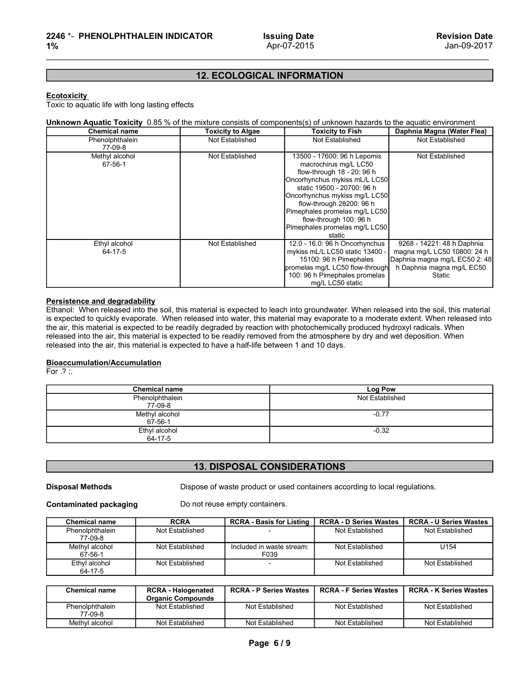# 12. ECOLOGICAL INFORMATION

| 2246 *- PHENOLPHTHALEIN INDICATOR<br>1%                                                                                                                                                                                                                                                                                                                                                                                                                                                                                                                                                                                                                                                                               |                                   | <b>Issuing Date</b><br>Apr-07-2015                                                                                                                                                                                                                                                                                   | <b>Revision Date</b><br>Jan-09-2017                                                                                               |
|-----------------------------------------------------------------------------------------------------------------------------------------------------------------------------------------------------------------------------------------------------------------------------------------------------------------------------------------------------------------------------------------------------------------------------------------------------------------------------------------------------------------------------------------------------------------------------------------------------------------------------------------------------------------------------------------------------------------------|-----------------------------------|----------------------------------------------------------------------------------------------------------------------------------------------------------------------------------------------------------------------------------------------------------------------------------------------------------------------|-----------------------------------------------------------------------------------------------------------------------------------|
|                                                                                                                                                                                                                                                                                                                                                                                                                                                                                                                                                                                                                                                                                                                       |                                   |                                                                                                                                                                                                                                                                                                                      |                                                                                                                                   |
|                                                                                                                                                                                                                                                                                                                                                                                                                                                                                                                                                                                                                                                                                                                       | <b>12. ECOLOGICAL INFORMATION</b> |                                                                                                                                                                                                                                                                                                                      |                                                                                                                                   |
| <b>Ecotoxicity</b><br>Toxic to aquatic life with long lasting effects<br>Unknown Aquatic Toxicity 0.85 % of the mixture consists of components(s) of unknown hazards to the aquatic environment                                                                                                                                                                                                                                                                                                                                                                                                                                                                                                                       |                                   |                                                                                                                                                                                                                                                                                                                      |                                                                                                                                   |
| <b>Chemical name</b>                                                                                                                                                                                                                                                                                                                                                                                                                                                                                                                                                                                                                                                                                                  | <b>Toxicity to Algae</b>          | <b>Toxicity to Fish</b>                                                                                                                                                                                                                                                                                              | Daphnia Magna (Water Flea)                                                                                                        |
| Phenolphthalein<br>77-09-8                                                                                                                                                                                                                                                                                                                                                                                                                                                                                                                                                                                                                                                                                            | Not Established                   | Not Established                                                                                                                                                                                                                                                                                                      | Not Established                                                                                                                   |
| Methyl alcohol<br>67-56-1                                                                                                                                                                                                                                                                                                                                                                                                                                                                                                                                                                                                                                                                                             | Not Established                   | 13500 - 17600: 96 h Lepomis<br>macrochirus mg/L LC50<br>flow-through 18 - 20: 96 h<br>Oncorhynchus mykiss mL/L LC50<br>static 19500 - 20700: 96 h<br>Oncorhynchus mykiss mg/L LC50<br>flow-through 28200: 96 h<br>Pimephales promelas mg/L LC50<br>flow-through 100: 96 h<br>Pimephales promelas mg/L LC50<br>static | Not Established                                                                                                                   |
| Ethyl alcohol<br>64-17-5                                                                                                                                                                                                                                                                                                                                                                                                                                                                                                                                                                                                                                                                                              | Not Established                   | 12.0 - 16.0: 96 h Oncorhynchus<br>mykiss mL/L LC50 static 13400 -<br>15100: 96 h Pimephales<br>promelas mg/L LC50 flow-through<br>100: 96 h Pimephales promelas<br>mg/L LC50 static                                                                                                                                  | 9268 - 14221: 48 h Daphnia<br>magna mg/L LC50 10800: 24 h<br>Daphnia magna mg/L EC50 2: 48<br>h Daphnia magna mg/L EC50<br>Static |
| Persistence and degradability<br>Ethanol: When released into the soil, this material is expected to leach into groundwater. When released into the soil, this material<br>is expected to quickly evaporate. When released into water, this material may evaporate to a moderate extent. When released into<br>the air, this material is expected to be readily degraded by reaction with photochemically produced hydroxyl radicals. When<br>released into the air, this material is expected to be readily removed from the atmosphere by dry and wet deposition. When<br>released into the air, this material is expected to have a half-life between 1 and 10 days.<br>Bioaccumulation/Accumulation<br>For $.?$ :. |                                   |                                                                                                                                                                                                                                                                                                                      |                                                                                                                                   |
| <b>Chemical name</b><br>Phenolphthalein                                                                                                                                                                                                                                                                                                                                                                                                                                                                                                                                                                                                                                                                               |                                   | <b>Log Pow</b><br>Not Established                                                                                                                                                                                                                                                                                    |                                                                                                                                   |
| 77-09-8                                                                                                                                                                                                                                                                                                                                                                                                                                                                                                                                                                                                                                                                                                               |                                   |                                                                                                                                                                                                                                                                                                                      |                                                                                                                                   |
| Methyl alcohol<br>67-56-1                                                                                                                                                                                                                                                                                                                                                                                                                                                                                                                                                                                                                                                                                             |                                   | $-0.77$                                                                                                                                                                                                                                                                                                              |                                                                                                                                   |
|                                                                                                                                                                                                                                                                                                                                                                                                                                                                                                                                                                                                                                                                                                                       |                                   | $-0.32$                                                                                                                                                                                                                                                                                                              |                                                                                                                                   |
| Ethyl alcohol                                                                                                                                                                                                                                                                                                                                                                                                                                                                                                                                                                                                                                                                                                         |                                   |                                                                                                                                                                                                                                                                                                                      |                                                                                                                                   |

### Bioaccumulation/Accumulation

|                                                        |                                                       |                                                                                                                                                                                                                                                                                                                                                          | promelas mg/L LC50 flow-through<br>100: 96 h Pimephales promelas<br>mg/L LC50 static | h Daphnia magna mg/L EC50<br>Static              |
|--------------------------------------------------------|-------------------------------------------------------|----------------------------------------------------------------------------------------------------------------------------------------------------------------------------------------------------------------------------------------------------------------------------------------------------------------------------------------------------------|--------------------------------------------------------------------------------------|--------------------------------------------------|
| Persistence and degradability                          |                                                       | Ethanol: When released into the soil, this material is expected to leach into groundwater. When released into the soil, this material<br>is expected to quickly evaporate. When released into water, this material may evaporate to a moderate extent. When released into                                                                                |                                                                                      |                                                  |
|                                                        |                                                       | the air, this material is expected to be readily degraded by reaction with photochemically produced hydroxyl radicals. When<br>released into the air, this material is expected to be readily removed from the atmosphere by dry and wet deposition. When<br>released into the air, this material is expected to have a half-life between 1 and 10 days. |                                                                                      |                                                  |
| <b>Bioaccumulation/Accumulation</b><br>For $.2 \times$ |                                                       |                                                                                                                                                                                                                                                                                                                                                          |                                                                                      |                                                  |
|                                                        | <b>Chemical name</b>                                  |                                                                                                                                                                                                                                                                                                                                                          | Log Pow                                                                              |                                                  |
|                                                        | Phenolphthalein<br>77-09-8                            |                                                                                                                                                                                                                                                                                                                                                          | Not Established                                                                      |                                                  |
|                                                        | Methyl alcohol<br>67-56-1                             |                                                                                                                                                                                                                                                                                                                                                          | $-0.77$                                                                              |                                                  |
|                                                        | Ethyl alcohol<br>64-17-5                              |                                                                                                                                                                                                                                                                                                                                                          | $-0.32$                                                                              |                                                  |
|                                                        |                                                       |                                                                                                                                                                                                                                                                                                                                                          |                                                                                      |                                                  |
|                                                        |                                                       | <b>13. DISPOSAL CONSIDERATIONS</b>                                                                                                                                                                                                                                                                                                                       |                                                                                      |                                                  |
|                                                        |                                                       |                                                                                                                                                                                                                                                                                                                                                          |                                                                                      |                                                  |
| <b>Disposal Methods</b>                                |                                                       | Dispose of waste product or used containers according to local regulations.                                                                                                                                                                                                                                                                              |                                                                                      |                                                  |
| <b>Contaminated packaging</b>                          |                                                       | Do not reuse empty containers.                                                                                                                                                                                                                                                                                                                           |                                                                                      |                                                  |
|                                                        | <b>RCRA</b>                                           | <b>RCRA - Basis for Listing</b>                                                                                                                                                                                                                                                                                                                          |                                                                                      |                                                  |
| <b>Chemical name</b><br>Phenolphthalein<br>77-09-8     | Not Established                                       |                                                                                                                                                                                                                                                                                                                                                          | <b>RCRA - D Series Wastes</b><br>Not Established                                     | <b>RCRA - U Series Wastes</b><br>Not Established |
| Methyl alcohol<br>67-56-1                              | Not Established                                       | Included in waste stream:<br>F039                                                                                                                                                                                                                                                                                                                        | Not Established                                                                      | U154                                             |
| Ethyl alcohol<br>64-17-5                               | Not Established                                       |                                                                                                                                                                                                                                                                                                                                                          | Not Established                                                                      | Not Established                                  |
|                                                        |                                                       |                                                                                                                                                                                                                                                                                                                                                          |                                                                                      |                                                  |
| <b>Chemical name</b>                                   | <b>RCRA - Halogenated</b><br><b>Organic Compounds</b> | <b>RCRA - P Series Wastes</b>                                                                                                                                                                                                                                                                                                                            | <b>RCRA - F Series Wastes</b>                                                        | <b>RCRA - K Series Wastes</b>                    |
| Phenolphthalein<br>77-09-8                             | Not Established                                       | Not Established                                                                                                                                                                                                                                                                                                                                          | Not Established                                                                      | Not Established                                  |

### 13. DISPOSAL CONSIDERATIONS

|                               | <b>FILEHOPHURGIEIH</b><br>77-09-8 |                                                                             | <b>NOT ESTADISTIED</b>        |                               |  |  |
|-------------------------------|-----------------------------------|-----------------------------------------------------------------------------|-------------------------------|-------------------------------|--|--|
|                               | Methyl alcohol<br>67-56-1         |                                                                             | $-0.77$                       |                               |  |  |
|                               | Ethyl alcohol<br>64-17-5          |                                                                             | $-0.32$                       |                               |  |  |
|                               |                                   |                                                                             |                               |                               |  |  |
|                               |                                   | <b>13. DISPOSAL CONSIDERATIONS</b>                                          |                               |                               |  |  |
| <b>Disposal Methods</b>       |                                   | Dispose of waste product or used containers according to local regulations. |                               |                               |  |  |
| <b>Contaminated packaging</b> |                                   | Do not reuse empty containers.                                              |                               |                               |  |  |
| <b>Chemical name</b>          | <b>RCRA</b>                       | <b>RCRA - Basis for Listing</b>                                             | <b>RCRA - D Series Wastes</b> | <b>RCRA - U Series Wastes</b> |  |  |
| Phenolphthalein<br>77-09-8    | Not Established                   |                                                                             | Not Established               | Not Established               |  |  |
| Methyl alcohol<br>67-56-1     | Not Established                   | Included in waste stream:<br>F039                                           | Not Established               | U154                          |  |  |
| Ethyl alcohol<br>64-17-5      | Not Established                   |                                                                             | Not Established               | Not Established               |  |  |
| <b>Chemical name</b>          | <b>RCRA - Halogenated</b>         | <b>RCRA - P Series Wastes</b>                                               | <b>RCRA - F Series Wastes</b> | <b>RCRA - K Series Wastes</b> |  |  |
|                               | <b>Organic Compounds</b>          |                                                                             |                               |                               |  |  |
| Phenolphthalein<br>77-09-8    | Not Established                   | Not Established                                                             | Not Established               | Not Established               |  |  |
|                               | Not Established                   | Not Established                                                             | Not Established               | Not Established               |  |  |

| <b>Chemical name</b>       | <b>RCRA - Halogenated</b><br><b>Organic Compounds</b> | <b>RCRA - P Series Wastes</b> | RCRA - F Series Wastes | <b>RCRA - K Series Wastes</b> |
|----------------------------|-------------------------------------------------------|-------------------------------|------------------------|-------------------------------|
| Phenolphthalein<br>77-09-8 | Not Established                                       | Not Established               | Not Established        | Not Established               |
| Methyl alcohol             | Not Established                                       | Not Established               | Not Established        | Not Established               |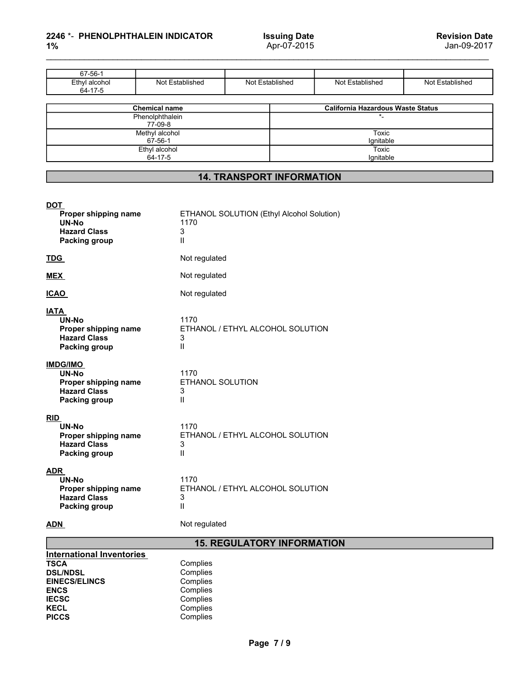# **1%** Apr-07-2

| 2246 *- PHENOLPHTHALEIN INDICATOR                                         |                                                        |                                  |                                    |                                                     | <b>Revision Date</b> |
|---------------------------------------------------------------------------|--------------------------------------------------------|----------------------------------|------------------------------------|-----------------------------------------------------|----------------------|
| 1%                                                                        |                                                        |                                  | <b>Issuing Date</b><br>Apr-07-2015 |                                                     | Jan-09-2017          |
|                                                                           |                                                        |                                  |                                    |                                                     |                      |
|                                                                           |                                                        |                                  |                                    |                                                     |                      |
| 67-56-1<br>Ethyl alcohol<br>$64-17-5$                                     | Not Established                                        | Not Established                  |                                    | Not Established                                     | Not Established      |
|                                                                           | <b>Chemical name</b>                                   |                                  |                                    |                                                     |                      |
|                                                                           | Phenolphthalein                                        |                                  |                                    | <b>California Hazardous Waste Status</b><br>$\star$ |                      |
|                                                                           | 77-09-8<br>Methyl alcohol                              |                                  |                                    | Toxic                                               |                      |
|                                                                           | $67 - 56 - 1$<br>Ethyl alcohol<br>$64 - 17 - 5$        |                                  |                                    | Ignitable<br>Toxic<br>Ignitable                     |                      |
|                                                                           |                                                        |                                  |                                    |                                                     |                      |
|                                                                           |                                                        | <b>14. TRANSPORT INFORMATION</b> |                                    |                                                     |                      |
| <u>DOT</u><br>Proper shipping name<br><b>UN-No</b><br><b>Hazard Class</b> | ETHANOL SOLUTION (Ethyl Alcohol Solution)<br>1170<br>3 |                                  |                                    |                                                     |                      |
| Packing group<br><u>TDG</u>                                               | Ш.<br>Not regulated                                    |                                  |                                    |                                                     |                      |

| .                  |                  |
|--------------------|------------------|
| Methyl alcohol     | Гохіс            |
| $67 - 56 - 7$      | <b>ignitable</b> |
| l alcohol<br>Ethyl | Toxic            |
| 64-17<br>$\sim$    | ɑnitable         |
|                    |                  |

# 14. TRANSPORT INFORMATION

| Phenolphthalein<br>$\star$<br>77-09-8<br>Methyl alcohol<br><b>Toxic</b><br>67-56-1<br>Ignitable<br><b>Toxic</b><br>Ethyl alcohol<br>64-17-5<br>Ignitable<br><b>14. TRANSPORT INFORMATION</b><br>ETHANOL SOLUTION (Ethyl Alcohol Solution)<br>Proper shipping name<br><b>UN-No</b><br>1170<br><b>Hazard Class</b><br>3<br>$\mathsf{I}$<br>Packing group<br>Not regulated<br>Not regulated<br>Not regulated<br>UN-No<br>1170<br>ETHANOL / ETHYL ALCOHOL SOLUTION<br>Proper shipping name<br><b>Hazard Class</b><br>3<br>$\mathsf{I}$<br>Packing group<br>UN-No<br>1170<br>ETHANOL SOLUTION<br>Proper shipping name<br><b>Hazard Class</b><br>3<br>$\mathsf{I}$<br>Packing group<br>1170<br>UN-No<br>ETHANOL / ETHYL ALCOHOL SOLUTION<br>Proper shipping name<br><b>Hazard Class</b><br>3<br>$\mathbf{I}$<br>Packing group<br>1170<br>UN-No<br>ETHANOL / ETHYL ALCOHOL SOLUTION<br>Proper shipping name<br><b>Hazard Class</b><br>3<br>$\mathsf{I}$<br>Packing group<br>Not regulated<br><b>15. REGULATORY INFORMATION</b><br>Complies<br>Complies<br>Complies<br>Complies<br>Complies<br>Complies<br>Complies<br>Page 7/9 | <b>Chemical name</b> |  | <b>California Hazardous Waste Status</b> |
|-------------------------------------------------------------------------------------------------------------------------------------------------------------------------------------------------------------------------------------------------------------------------------------------------------------------------------------------------------------------------------------------------------------------------------------------------------------------------------------------------------------------------------------------------------------------------------------------------------------------------------------------------------------------------------------------------------------------------------------------------------------------------------------------------------------------------------------------------------------------------------------------------------------------------------------------------------------------------------------------------------------------------------------------------------------------------------------------------------------------------|----------------------|--|------------------------------------------|
| <b>DOT</b><br><b>TDG</b><br><b>MEX</b><br><b>ICAO</b><br><b>IATA</b><br><b>IMDG/IMO</b><br><b>RID</b><br><b>ADR</b>                                                                                                                                                                                                                                                                                                                                                                                                                                                                                                                                                                                                                                                                                                                                                                                                                                                                                                                                                                                                     |                      |  |                                          |
|                                                                                                                                                                                                                                                                                                                                                                                                                                                                                                                                                                                                                                                                                                                                                                                                                                                                                                                                                                                                                                                                                                                         |                      |  |                                          |
|                                                                                                                                                                                                                                                                                                                                                                                                                                                                                                                                                                                                                                                                                                                                                                                                                                                                                                                                                                                                                                                                                                                         |                      |  |                                          |
|                                                                                                                                                                                                                                                                                                                                                                                                                                                                                                                                                                                                                                                                                                                                                                                                                                                                                                                                                                                                                                                                                                                         |                      |  |                                          |
|                                                                                                                                                                                                                                                                                                                                                                                                                                                                                                                                                                                                                                                                                                                                                                                                                                                                                                                                                                                                                                                                                                                         |                      |  |                                          |
|                                                                                                                                                                                                                                                                                                                                                                                                                                                                                                                                                                                                                                                                                                                                                                                                                                                                                                                                                                                                                                                                                                                         |                      |  |                                          |
|                                                                                                                                                                                                                                                                                                                                                                                                                                                                                                                                                                                                                                                                                                                                                                                                                                                                                                                                                                                                                                                                                                                         |                      |  |                                          |
|                                                                                                                                                                                                                                                                                                                                                                                                                                                                                                                                                                                                                                                                                                                                                                                                                                                                                                                                                                                                                                                                                                                         |                      |  |                                          |
|                                                                                                                                                                                                                                                                                                                                                                                                                                                                                                                                                                                                                                                                                                                                                                                                                                                                                                                                                                                                                                                                                                                         |                      |  |                                          |
|                                                                                                                                                                                                                                                                                                                                                                                                                                                                                                                                                                                                                                                                                                                                                                                                                                                                                                                                                                                                                                                                                                                         |                      |  |                                          |
|                                                                                                                                                                                                                                                                                                                                                                                                                                                                                                                                                                                                                                                                                                                                                                                                                                                                                                                                                                                                                                                                                                                         |                      |  |                                          |
|                                                                                                                                                                                                                                                                                                                                                                                                                                                                                                                                                                                                                                                                                                                                                                                                                                                                                                                                                                                                                                                                                                                         |                      |  |                                          |
|                                                                                                                                                                                                                                                                                                                                                                                                                                                                                                                                                                                                                                                                                                                                                                                                                                                                                                                                                                                                                                                                                                                         |                      |  |                                          |
|                                                                                                                                                                                                                                                                                                                                                                                                                                                                                                                                                                                                                                                                                                                                                                                                                                                                                                                                                                                                                                                                                                                         |                      |  |                                          |
|                                                                                                                                                                                                                                                                                                                                                                                                                                                                                                                                                                                                                                                                                                                                                                                                                                                                                                                                                                                                                                                                                                                         |                      |  |                                          |
| <b>International Inventories</b><br><b>TSCA</b><br><b>DSL/NDSL</b><br><b>EINECS/ELINCS</b><br><b>ENCS</b><br><b>IECSC</b><br><b>KECL</b><br><b>PICCS</b>                                                                                                                                                                                                                                                                                                                                                                                                                                                                                                                                                                                                                                                                                                                                                                                                                                                                                                                                                                | <b>ADN</b>           |  |                                          |
|                                                                                                                                                                                                                                                                                                                                                                                                                                                                                                                                                                                                                                                                                                                                                                                                                                                                                                                                                                                                                                                                                                                         |                      |  |                                          |
|                                                                                                                                                                                                                                                                                                                                                                                                                                                                                                                                                                                                                                                                                                                                                                                                                                                                                                                                                                                                                                                                                                                         |                      |  |                                          |
|                                                                                                                                                                                                                                                                                                                                                                                                                                                                                                                                                                                                                                                                                                                                                                                                                                                                                                                                                                                                                                                                                                                         |                      |  |                                          |
|                                                                                                                                                                                                                                                                                                                                                                                                                                                                                                                                                                                                                                                                                                                                                                                                                                                                                                                                                                                                                                                                                                                         |                      |  |                                          |

# 15. REGULATORY INFORMATION

| International Inventories |          |
|---------------------------|----------|
| <b>TSCA</b>               | Complies |
| <b>DSL/NDSL</b>           | Complies |
| <b>EINECS/ELINCS</b>      | Complies |
| <b>ENCS</b>               | Complies |
| <b>IECSC</b>              | Complies |
| <b>KECL</b>               | Complies |
| <b>PICCS</b>              | Complies |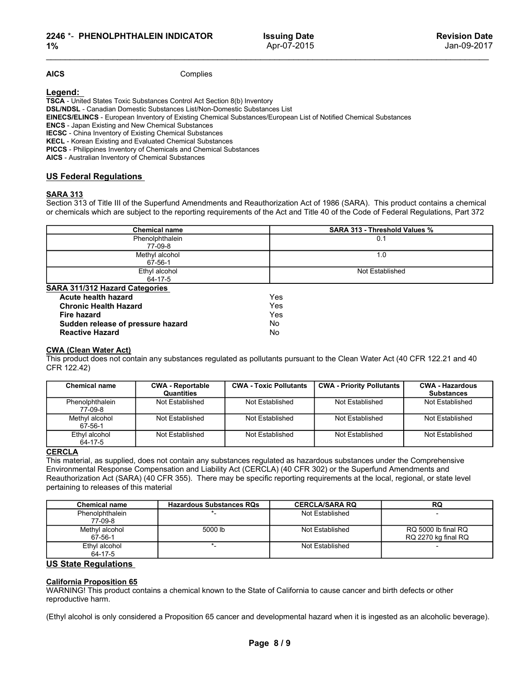### SARA 313

2246 \*- PHENOLPHTHALEIN INDICATOR<br>
1% BSUing Date<br>
1% Apr-07-2015<br>
1% Apr-07-2015<br>
1620<br>
1620<br>
1620<br>
1620<br>
1620<br>
1620<br>
1620<br>
1620<br>
1620<br>
1620<br>
1620<br>
1620<br>
1620<br>
1620<br>
1620<br>
1620<br>
1620<br>
1620<br>
1620<br>
1620<br>
1620<br>
1620<br>
1620<br>
1

| 2246 *- PHENOLPHTHALEIN INDICATOR<br>$1\%$                                                                                |                                                                                                                                                                                                                                                                                                                                                                                                                                                                               |                 | <b>Issuing Date</b><br>Apr-07-2015 |                                  | <b>Revision Date</b><br>Jan-09-2017                                                                                                                                                                                                                                |  |  |
|---------------------------------------------------------------------------------------------------------------------------|-------------------------------------------------------------------------------------------------------------------------------------------------------------------------------------------------------------------------------------------------------------------------------------------------------------------------------------------------------------------------------------------------------------------------------------------------------------------------------|-----------------|------------------------------------|----------------------------------|--------------------------------------------------------------------------------------------------------------------------------------------------------------------------------------------------------------------------------------------------------------------|--|--|
| <b>AICS</b>                                                                                                               | Complies                                                                                                                                                                                                                                                                                                                                                                                                                                                                      |                 |                                    |                                  |                                                                                                                                                                                                                                                                    |  |  |
| Legend:<br><b>ENCS</b> - Japan Existing and New Chemical Substances<br>AICS - Australian Inventory of Chemical Substances | TSCA - United States Toxic Substances Control Act Section 8(b) Inventory<br>DSL/NDSL - Canadian Domestic Substances List/Non-Domestic Substances List<br>EINECS/ELINCS - European Inventory of Existing Chemical Substances/European List of Notified Chemical Substances<br><b>IECSC</b> - China Inventory of Existing Chemical Substances<br>KECL - Korean Existing and Evaluated Chemical Substances<br>PICCS - Philippines Inventory of Chemicals and Chemical Substances |                 |                                    |                                  |                                                                                                                                                                                                                                                                    |  |  |
| <b>US Federal Regulations</b>                                                                                             |                                                                                                                                                                                                                                                                                                                                                                                                                                                                               |                 |                                    |                                  |                                                                                                                                                                                                                                                                    |  |  |
| <b>SARA 313</b>                                                                                                           |                                                                                                                                                                                                                                                                                                                                                                                                                                                                               |                 |                                    |                                  | Section 313 of Title III of the Superfund Amendments and Reauthorization Act of 1986 (SARA). This product contains a chemical<br>or chemicals which are subject to the reporting requirements of the Act and Title 40 of the Code of Federal Regulations, Part 372 |  |  |
|                                                                                                                           | <b>Chemical name</b>                                                                                                                                                                                                                                                                                                                                                                                                                                                          |                 |                                    | SARA 313 - Threshold Values %    |                                                                                                                                                                                                                                                                    |  |  |
|                                                                                                                           | Phenolphthalein                                                                                                                                                                                                                                                                                                                                                                                                                                                               |                 |                                    | 0.1                              |                                                                                                                                                                                                                                                                    |  |  |
|                                                                                                                           | 77-09-8<br>Methyl alcohol                                                                                                                                                                                                                                                                                                                                                                                                                                                     |                 |                                    | 1.0                              |                                                                                                                                                                                                                                                                    |  |  |
|                                                                                                                           | 67-56-1                                                                                                                                                                                                                                                                                                                                                                                                                                                                       |                 |                                    |                                  |                                                                                                                                                                                                                                                                    |  |  |
|                                                                                                                           | Ethyl alcohol<br>64-17-5                                                                                                                                                                                                                                                                                                                                                                                                                                                      |                 |                                    | Not Established                  |                                                                                                                                                                                                                                                                    |  |  |
| SARA 311/312 Hazard Categories                                                                                            |                                                                                                                                                                                                                                                                                                                                                                                                                                                                               |                 |                                    |                                  |                                                                                                                                                                                                                                                                    |  |  |
| Acute health hazard                                                                                                       |                                                                                                                                                                                                                                                                                                                                                                                                                                                                               |                 | Yes                                |                                  |                                                                                                                                                                                                                                                                    |  |  |
| <b>Chronic Health Hazard</b><br><b>Fire hazard</b>                                                                        |                                                                                                                                                                                                                                                                                                                                                                                                                                                                               |                 | Yes<br>Yes                         |                                  |                                                                                                                                                                                                                                                                    |  |  |
| Sudden release of pressure hazard                                                                                         |                                                                                                                                                                                                                                                                                                                                                                                                                                                                               |                 | No.                                |                                  |                                                                                                                                                                                                                                                                    |  |  |
| <b>Reactive Hazard</b>                                                                                                    |                                                                                                                                                                                                                                                                                                                                                                                                                                                                               |                 | No                                 |                                  |                                                                                                                                                                                                                                                                    |  |  |
| <b>CWA (Clean Water Act)</b><br>CFR 122.42)                                                                               | This product does not contain any substances regulated as pollutants pursuant to the Clean Water Act (40 CFR 122.21 and 40                                                                                                                                                                                                                                                                                                                                                    |                 |                                    |                                  |                                                                                                                                                                                                                                                                    |  |  |
| <b>Chemical name</b>                                                                                                      | <b>CWA - Reportable</b>                                                                                                                                                                                                                                                                                                                                                                                                                                                       |                 | <b>CWA - Toxic Pollutants</b>      | <b>CWA - Priority Pollutants</b> | <b>CWA - Hazardous</b>                                                                                                                                                                                                                                             |  |  |
| Phenolphthalein                                                                                                           | Quantities<br>Not Established                                                                                                                                                                                                                                                                                                                                                                                                                                                 |                 | Not Established                    | Not Established                  | <b>Substances</b><br>Not Established                                                                                                                                                                                                                               |  |  |
| 77-09-8                                                                                                                   |                                                                                                                                                                                                                                                                                                                                                                                                                                                                               |                 |                                    |                                  |                                                                                                                                                                                                                                                                    |  |  |
| Methyl alcohol<br>67-56-1                                                                                                 | Not Established                                                                                                                                                                                                                                                                                                                                                                                                                                                               | Not Established |                                    | Not Established                  | Not Established                                                                                                                                                                                                                                                    |  |  |
| Ethyl alcohol<br>64-17-5                                                                                                  | Not Established                                                                                                                                                                                                                                                                                                                                                                                                                                                               | Not Established |                                    | Not Established                  | Not Established                                                                                                                                                                                                                                                    |  |  |
| <b>CERCLA</b><br>pertaining to releases of this material                                                                  | This material, as supplied, does not contain any substances regulated as hazardous substances under the Comprehensive<br>Environmental Response Compensation and Liability Act (CERCLA) (40 CFR 302) or the Superfund Amendments and<br>Reauthorization Act (SARA) (40 CFR 355). There may be specific reporting requirements at the local, regional, or state level                                                                                                          |                 |                                    |                                  |                                                                                                                                                                                                                                                                    |  |  |
| <b>Chemical name</b>                                                                                                      | <b>Hazardous Substances RQs</b>                                                                                                                                                                                                                                                                                                                                                                                                                                               |                 |                                    | <b>CERCLA/SARA RQ</b>            | RQ                                                                                                                                                                                                                                                                 |  |  |
| Phenolphthalein<br>77-09-8                                                                                                |                                                                                                                                                                                                                                                                                                                                                                                                                                                                               |                 |                                    | Not Established                  |                                                                                                                                                                                                                                                                    |  |  |
| Methyl alcohol                                                                                                            | 5000 lb                                                                                                                                                                                                                                                                                                                                                                                                                                                                       |                 |                                    | Not Established                  | RQ 5000 lb final RQ                                                                                                                                                                                                                                                |  |  |
| $67 - 56 - 1$                                                                                                             |                                                                                                                                                                                                                                                                                                                                                                                                                                                                               |                 |                                    |                                  | RQ 2270 kg final RQ                                                                                                                                                                                                                                                |  |  |

|                                         | <u>04-11-9</u>                  |                               |                                                                                                                                                                                                                                             |                        |
|-----------------------------------------|---------------------------------|-------------------------------|---------------------------------------------------------------------------------------------------------------------------------------------------------------------------------------------------------------------------------------------|------------------------|
| <b>SARA 311/312 Hazard Categories</b>   |                                 |                               |                                                                                                                                                                                                                                             |                        |
| Acute health hazard                     |                                 | Yes                           |                                                                                                                                                                                                                                             |                        |
| <b>Chronic Health Hazard</b>            |                                 | Yes                           |                                                                                                                                                                                                                                             |                        |
| <b>Fire hazard</b>                      |                                 | Yes                           |                                                                                                                                                                                                                                             |                        |
| Sudden release of pressure hazard       |                                 | <b>No</b>                     |                                                                                                                                                                                                                                             |                        |
| <b>Reactive Hazard</b>                  |                                 | <b>No</b>                     |                                                                                                                                                                                                                                             |                        |
|                                         |                                 |                               |                                                                                                                                                                                                                                             |                        |
| <b>CWA (Clean Water Act)</b>            |                                 |                               |                                                                                                                                                                                                                                             |                        |
|                                         |                                 |                               | This product does not contain any substances regulated as pollutants pursuant to the Clean Water Act (40 CFR 122.21 and 40                                                                                                                  |                        |
| CFR 122.42)                             |                                 |                               |                                                                                                                                                                                                                                             |                        |
|                                         |                                 |                               |                                                                                                                                                                                                                                             |                        |
| <b>Chemical name</b>                    | <b>CWA - Reportable</b>         | <b>CWA - Toxic Pollutants</b> | <b>CWA - Priority Pollutants</b>                                                                                                                                                                                                            | <b>CWA - Hazardous</b> |
|                                         | Quantities                      |                               |                                                                                                                                                                                                                                             | <b>Substances</b>      |
| Phenolphthalein<br>77-09-8              | Not Established                 | Not Established               | Not Established                                                                                                                                                                                                                             | Not Established        |
| Methyl alcohol                          | Not Established                 | Not Established               | Not Established                                                                                                                                                                                                                             | Not Established        |
| 67-56-1                                 |                                 |                               |                                                                                                                                                                                                                                             |                        |
| Ethyl alcohol                           | <b>Not Established</b>          | Not Established               | Not Established                                                                                                                                                                                                                             | Not Established        |
| $64 - 17 - 5$                           |                                 |                               |                                                                                                                                                                                                                                             |                        |
| pertaining to releases of this material |                                 |                               | Environmental Response Compensation and Liability Act (CERCLA) (40 CFR 302) or the Superfund Amendments and<br>Reauthorization Act (SARA) (40 CFR 355). There may be specific reporting requirements at the local, regional, or state level |                        |
|                                         |                                 |                               |                                                                                                                                                                                                                                             |                        |
| <b>Chemical name</b>                    | <b>Hazardous Substances RQs</b> |                               | <b>CERCLA/SARA RQ</b>                                                                                                                                                                                                                       | RQ                     |
| Phenolphthalein<br>77-09-8              |                                 |                               | <b>Not Established</b>                                                                                                                                                                                                                      |                        |
| Methyl alcohol                          | 5000 lb                         |                               | Not Established                                                                                                                                                                                                                             | RQ 5000 lb final RQ    |
| 67-56-1                                 |                                 |                               |                                                                                                                                                                                                                                             | RQ 2270 kg final RQ    |
| Ethyl alcohol                           | $\star$                         |                               | Not Established                                                                                                                                                                                                                             |                        |
| 64-17-5                                 |                                 |                               |                                                                                                                                                                                                                                             |                        |
| <b>US State Regulations</b>             |                                 |                               |                                                                                                                                                                                                                                             |                        |
|                                         |                                 |                               |                                                                                                                                                                                                                                             |                        |
| <b>California Proposition 65</b>        |                                 |                               |                                                                                                                                                                                                                                             |                        |
|                                         |                                 |                               | WARNING! This product contains a chemical known to the State of California to cause cancer and birth defects or other                                                                                                                       |                        |
| reproductive harm.                      |                                 |                               |                                                                                                                                                                                                                                             |                        |
|                                         |                                 |                               |                                                                                                                                                                                                                                             |                        |
|                                         |                                 |                               | (Ethyl alcohol is only considered a Proposition 65 cancer and developmental hazard when it is ingested as an alcoholic beverage).                                                                                                           |                        |
|                                         |                                 |                               |                                                                                                                                                                                                                                             |                        |
|                                         |                                 |                               |                                                                                                                                                                                                                                             |                        |
|                                         |                                 |                               |                                                                                                                                                                                                                                             |                        |
|                                         |                                 | Page 8/9                      |                                                                                                                                                                                                                                             |                        |
|                                         |                                 |                               |                                                                                                                                                                                                                                             |                        |

|                                                                                       | Quantities                                                                                                                                                                                                                                                                                                                                                           |                 |                 |                       | <b>Substances</b>                                                                                                                 |
|---------------------------------------------------------------------------------------|----------------------------------------------------------------------------------------------------------------------------------------------------------------------------------------------------------------------------------------------------------------------------------------------------------------------------------------------------------------------|-----------------|-----------------|-----------------------|-----------------------------------------------------------------------------------------------------------------------------------|
| Phenolphthalein<br>77-09-8                                                            | Not Established                                                                                                                                                                                                                                                                                                                                                      | Not Established |                 | Not Established       | Not Established                                                                                                                   |
| Methyl alcohol<br>67-56-1                                                             | Not Established                                                                                                                                                                                                                                                                                                                                                      | Not Established |                 | Not Established       | Not Established                                                                                                                   |
| Ethyl alcohol<br>64-17-5                                                              | Not Established                                                                                                                                                                                                                                                                                                                                                      | Not Established |                 | Not Established       | Not Established                                                                                                                   |
| <b>CERCLA</b><br>pertaining to releases of this material                              | This material, as supplied, does not contain any substances regulated as hazardous substances under the Comprehensive<br>Environmental Response Compensation and Liability Act (CERCLA) (40 CFR 302) or the Superfund Amendments and<br>Reauthorization Act (SARA) (40 CFR 355). There may be specific reporting requirements at the local, regional, or state level |                 |                 |                       |                                                                                                                                   |
| <b>Chemical name</b>                                                                  | <b>Hazardous Substances RQs</b>                                                                                                                                                                                                                                                                                                                                      |                 |                 | <b>CERCLA/SARA RQ</b> | <b>RQ</b>                                                                                                                         |
| Phenolphthalein<br>77-09-8                                                            |                                                                                                                                                                                                                                                                                                                                                                      |                 |                 | Not Established       | $\overline{\phantom{a}}$                                                                                                          |
| Methyl alcohol<br>67-56-1                                                             | 5000 lb                                                                                                                                                                                                                                                                                                                                                              |                 | Not Established |                       | RQ 5000 lb final RQ<br>RQ 2270 kg final RQ                                                                                        |
| Ethyl alcohol<br>64-17-5                                                              | $\star$                                                                                                                                                                                                                                                                                                                                                              |                 |                 | Not Established       |                                                                                                                                   |
| <b>US State Regulations</b><br><b>California Proposition 65</b><br>reproductive harm. | WARNING! This product contains a chemical known to the State of California to cause cancer and birth defects or other                                                                                                                                                                                                                                                |                 |                 |                       |                                                                                                                                   |
|                                                                                       |                                                                                                                                                                                                                                                                                                                                                                      |                 |                 |                       | (Ethyl alcohol is only considered a Proposition 65 cancer and developmental hazard when it is ingested as an alcoholic beverage). |
|                                                                                       |                                                                                                                                                                                                                                                                                                                                                                      | Page 8/9        |                 |                       |                                                                                                                                   |